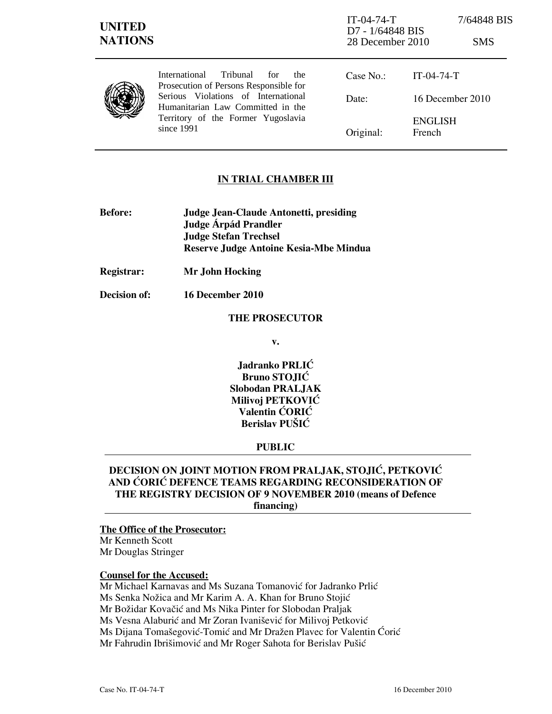## IN TRIAL CHAMBER III

- Before: Judge Jean-Claude Antonetti, presiding Judge **Árpád Prandler**  Judge Stefan Trechsel Reserve Judge Antoine Kesia-Mbe Mindua
- Registrar: Mr John Hocking
- Decision of: 16 December 2010

#### THE PROSECUTOR

v.

Jadranko PRLIĆ Bruno STOJIĆ Slobodan PRALJAK Milivoj PETKOVIĆ Valentin ĆORIĆ Berislav PUŠIĆ

### PUBLIC

# DECISION ON JOINT MOTION FROM PRALJAK, STOJIĆ, PETKOVIĆ AND CORIC DEFENCE TEAMS REGARDING RECONSIDERATION OF THE REGISTRY DECISION OF 9 NOVEMBER 2010 (means of Defence financing)

#### The Office of the Prosecutor:

Mr Kenneth Scott Mr Douglas Stringer

## Counsel for the Accused:

Mr Michael Karnavas and Ms Suzana Tomanović for Jadranko Prlić Ms Senka Nožica and Mr Karim A. A. Khan for Bruno Stojić Mr Božidar Kovačić and Ms Nika Pinter for Slobodan Praljak Ms Vesna Alaburić and Mr Zoran Ivanišević for Milivoj Petković Ms Dijana Tomašegović-Tomić and Mr Dražen Plavec for Valentin Ćorić Mr Fahrudin Ibrišimović and Mr Roger Sahota for Berislav Pušić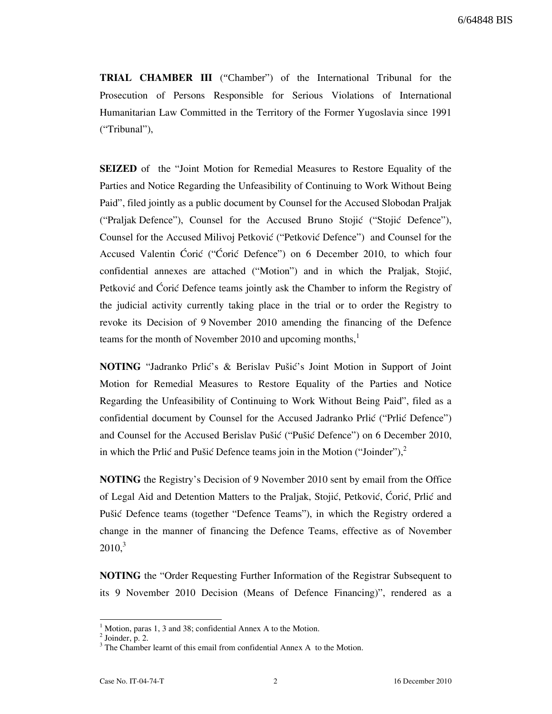TRIAL CHAMBER III ("Chamber") of the International Tribunal for the Prosecution of Persons Responsible for Serious Violations of International Humanitarian Law Committed in the Territory of the Former Yugoslavia since 1991 ("Tribunal"),

SEIZED of the "Joint Motion for Remedial Measures to Restore Equality of the Parties and Notice Regarding the Unfeasibility of Continuing to Work Without Being Paid", filed jointly as a public document by Counsel for the Accused Slobodan Praljak ("Praljak Defence"), Counsel for the Accused Bruno Stojić ("Stojić Defence"), Counsel for the Accused Milivoj Petković ("Petković Defence") and Counsel for the Accused Valentin Ćorić ("Ćorić Defence") on 6 December 2010, to which four confidential annexes are attached ("Motion") and in which the Praljak, Stojić, Petković and Corić Defence teams jointly ask the Chamber to inform the Registry of the judicial activity currently taking place in the trial or to order the Registry to revoke its Decision of 9 November 2010 amending the financing of the Defence teams for the month of November 2010 and upcoming months, $<sup>1</sup>$ </sup>

NOTING "Jadranko Prlić's & Berislav Pušić's Joint Motion in Support of Joint Motion for Remedial Measures to Restore Equality of the Parties and Notice Regarding the Unfeasibility of Continuing to Work Without Being Paid", filed as a confidential document by Counsel for the Accused Jadranko Prlić ("Prlić Defence") and Counsel for the Accused Berislav Pušić ("Pušić Defence") on 6 December 2010, in which the Prlić and Pušić Defence teams join in the Motion ("Joinder"), $\frac{2}{3}$ 

NOTING the Registry's Decision of 9 November 2010 sent by email from the Office of Legal Aid and Detention Matters to the Praljak, Stojić, Petković, Ćorić, Prlić and Pušić Defence teams (together "Defence Teams"), in which the Registry ordered a change in the manner of financing the Defence Teams, effective as of November  $2010<sup>3</sup>$ 

NOTING the "Order Requesting Further Information of the Registrar Subsequent to its 9 November 2010 Decision (Means of Defence Financing)", rendered as a

<sup>&</sup>lt;sup>1</sup> Motion, paras 1, 3 and 38; confidential Annex A to the Motion.

 $<sup>2</sup>$  Joinder, p. 2.</sup>

<sup>&</sup>lt;sup>3</sup> The Chamber learnt of this email from confidential Annex A to the Motion.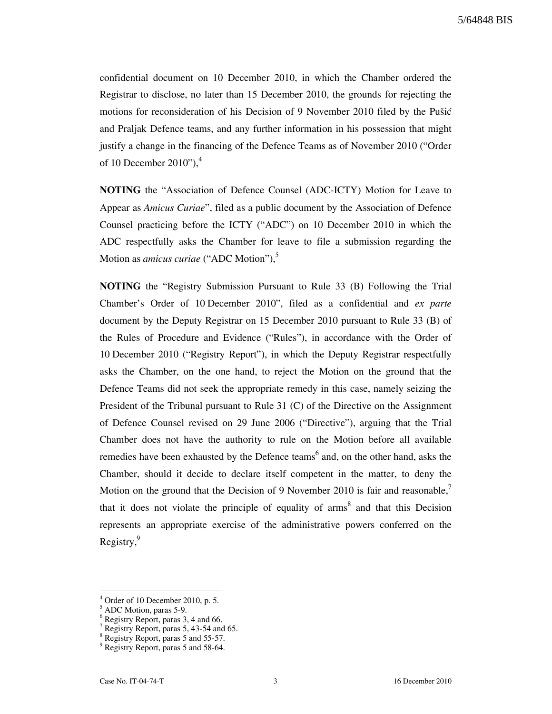confidential document on 10 December 2010, in which the Chamber ordered the Registrar to disclose, no later than 15 December 2010, the grounds for rejecting the motions for reconsideration of his Decision of 9 November 2010 filed by the Pušić and Praljak Defence teams, and any further information in his possession that might justify a change in the financing of the Defence Teams as of November 2010 ("Order of 10 December 2010"), $4$ 

NOTING the "Association of Defence Counsel (ADC-ICTY) Motion for Leave to Appear as Amicus Curiae", filed as a public document by the Association of Defence Counsel practicing before the ICTY ("ADC") on 10 December 2010 in which the ADC respectfully asks the Chamber for leave to file a submission regarding the Motion as *amicus curiae* ("ADC Motion"),<sup>5</sup>

NOTING the "Registry Submission Pursuant to Rule 33 (B) Following the Trial Chamber's Order of 10 December 2010", filed as a confidential and ex parte document by the Deputy Registrar on 15 December 2010 pursuant to Rule 33 (B) of the Rules of Procedure and Evidence ("Rules"), in accordance with the Order of 10 December 2010 ("Registry Report"), in which the Deputy Registrar respectfully asks the Chamber, on the one hand, to reject the Motion on the ground that the Defence Teams did not seek the appropriate remedy in this case, namely seizing the President of the Tribunal pursuant to Rule 31 (C) of the Directive on the Assignment of Defence Counsel revised on 29 June 2006 ("Directive"), arguing that the Trial Chamber does not have the authority to rule on the Motion before all available remedies have been exhausted by the Defence teams<sup>6</sup> and, on the other hand, asks the Chamber, should it decide to declare itself competent in the matter, to deny the Motion on the ground that the Decision of 9 November 2010 is fair and reasonable, $\overline{1}$ that it does not violate the principle of equality of  $\text{arms}^8$  and that this Decision represents an appropriate exercise of the administrative powers conferred on the Registry,<sup>9</sup>

 $4$  Order of 10 December 2010, p. 5.

<sup>5</sup> ADC Motion, paras 5-9.

<sup>6</sup> Registry Report, paras 3, 4 and 66.

<sup>&</sup>lt;sup>7</sup> Registry Report, paras 5, 43-54 and 65.

<sup>8</sup> Registry Report, paras 5 and 55-57.

<sup>9</sup> Registry Report, paras 5 and 58-64.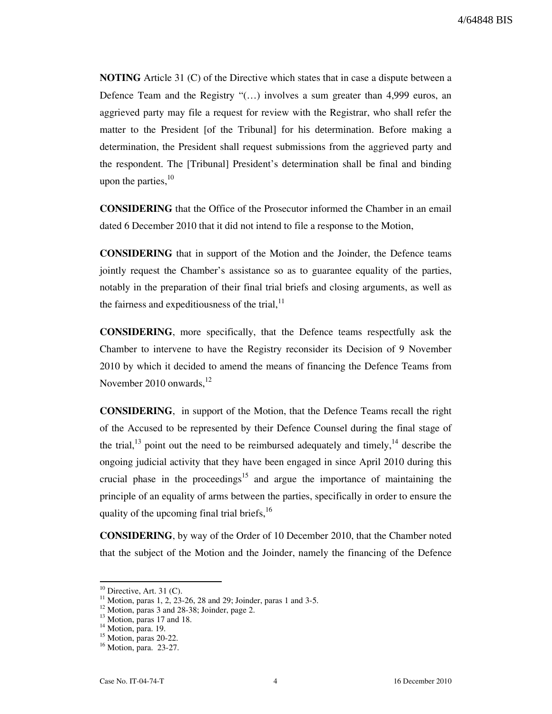NOTING Article 31 (C) of the Directive which states that in case a dispute between a Defence Team and the Registry " $\dots$ ) involves a sum greater than 4,999 euros, an aggrieved party may file a request for review with the Registrar, who shall refer the matter to the President [of the Tribunal] for his determination. Before making a determination, the President shall request submissions from the aggrieved party and the respondent. The [Tribunal] President's determination shall be final and binding upon the parties,  $10$ 

CONSIDERING that the Office of the Prosecutor informed the Chamber in an email dated 6 December 2010 that it did not intend to file a response to the Motion,

CONSIDERING that in support of the Motion and the Joinder, the Defence teams jointly request the Chamber's assistance so as to guarantee equality of the parties, notably in the preparation of their final trial briefs and closing arguments, as well as the fairness and expeditiousness of the trial,  $11$ 

CONSIDERING, more specifically, that the Defence teams respectfully ask the Chamber to intervene to have the Registry reconsider its Decision of 9 November 2010 by which it decided to amend the means of financing the Defence Teams from November 2010 onwards, $^{12}$ 

CONSIDERING, in support of the Motion, that the Defence Teams recall the right of the Accused to be represented by their Defence Counsel during the final stage of the trial, $^{13}$  point out the need to be reimbursed adequately and timely, $^{14}$  describe the ongoing judicial activity that they have been engaged in since April 2010 during this crucial phase in the proceedings<sup>15</sup> and argue the importance of maintaining the principle of an equality of arms between the parties, specifically in order to ensure the quality of the upcoming final trial briefs, $^{16}$ 

CONSIDERING, by way of the Order of 10 December 2010, that the Chamber noted that the subject of the Motion and the Joinder, namely the financing of the Defence

 $10$  Directive, Art. 31 (C).

<sup>&</sup>lt;sup>11</sup> Motion, paras 1, 2, 23-26, 28 and 29; Joinder, paras 1 and 3-5.

 $12$  Motion, paras 3 and 28-38; Joinder, page 2.

 $13$  Motion, paras 17 and 18.

<sup>&</sup>lt;sup>14</sup> Motion, para. 19.

 $15$  Motion, paras 20-22.

<sup>16</sup> Motion, para. 23-27.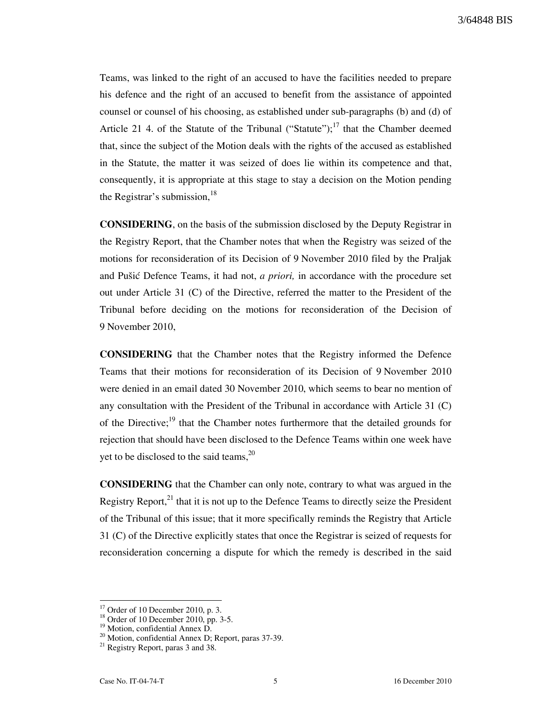Teams, was linked to the right of an accused to have the facilities needed to prepare his defence and the right of an accused to benefit from the assistance of appointed counsel or counsel of his choosing, as established under sub-paragraphs (b) and (d) of Article 21 4. of the Statute of the Tribunal ("Statute");<sup>17</sup> that the Chamber deemed that, since the subject of the Motion deals with the rights of the accused as established in the Statute, the matter it was seized of does lie within its competence and that, consequently, it is appropriate at this stage to stay a decision on the Motion pending the Registrar's submission,  $^{18}$ 

CONSIDERING, on the basis of the submission disclosed by the Deputy Registrar in the Registry Report, that the Chamber notes that when the Registry was seized of the motions for reconsideration of its Decision of 9 November 2010 filed by the Praljak and Pušić Defence Teams, it had not, a priori, in accordance with the procedure set out under Article 31 (C) of the Directive, referred the matter to the President of the Tribunal before deciding on the motions for reconsideration of the Decision of 9 November 2010,

CONSIDERING that the Chamber notes that the Registry informed the Defence Teams that their motions for reconsideration of its Decision of 9 November 2010 were denied in an email dated 30 November 2010, which seems to bear no mention of any consultation with the President of the Tribunal in accordance with Article 31 (C) of the Directive;<sup>19</sup> that the Chamber notes furthermore that the detailed grounds for rejection that should have been disclosed to the Defence Teams within one week have yet to be disclosed to the said teams, $20$ 

CONSIDERING that the Chamber can only note, contrary to what was argued in the Registry Report, $^{21}$  that it is not up to the Defence Teams to directly seize the President of the Tribunal of this issue; that it more specifically reminds the Registry that Article 31 (C) of the Directive explicitly states that once the Registrar is seized of requests for reconsideration concerning a dispute for which the remedy is described in the said

Order of 10 December 2010, p. 3.

<sup>&</sup>lt;sup>18</sup> Order of 10 December 2010, pp. 3-5.

<sup>&</sup>lt;sup>19</sup> Motion, confidential Annex D.

<sup>&</sup>lt;sup>20</sup> Motion, confidential Annex D; Report, paras 37-39.

<sup>&</sup>lt;sup>21</sup> Registry Report, paras 3 and 38.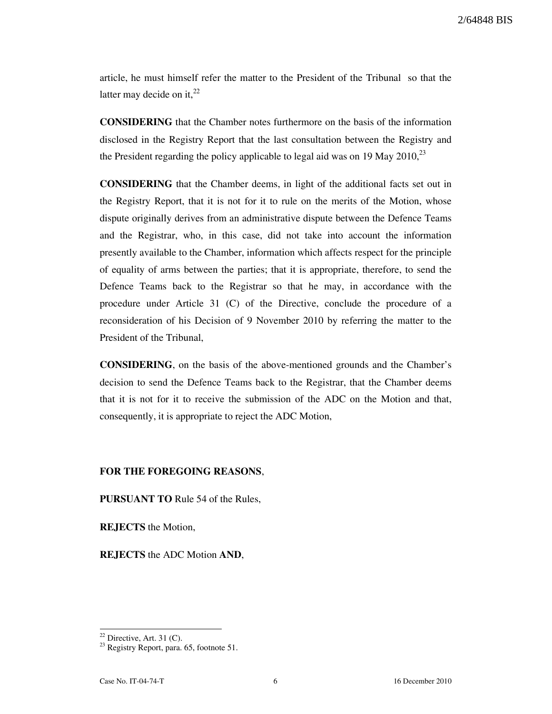2/64848 BIS

article, he must himself refer the matter to the President of the Tribunal so that the latter may decide on it. $^{22}$ 

CONSIDERING that the Chamber notes furthermore on the basis of the information disclosed in the Registry Report that the last consultation between the Registry and the President regarding the policy applicable to legal aid was on 19 May 2010,  $^{23}$ 

CONSIDERING that the Chamber deems, in light of the additional facts set out in the Registry Report, that it is not for it to rule on the merits of the Motion, whose dispute originally derives from an administrative dispute between the Defence Teams and the Registrar, who, in this case, did not take into account the information presently available to the Chamber, information which affects respect for the principle of equality of arms between the parties; that it is appropriate, therefore, to send the Defence Teams back to the Registrar so that he may, in accordance with the procedure under Article 31 (C) of the Directive, conclude the procedure of a reconsideration of his Decision of 9 November 2010 by referring the matter to the President of the Tribunal,

CONSIDERING, on the basis of the above-mentioned grounds and the Chamber's decision to send the Defence Teams back to the Registrar, that the Chamber deems that it is not for it to receive the submission of the ADC on the Motion and that, consequently, it is appropriate to reject the ADC Motion,

## FOR THE FOREGOING REASONS,

PURSUANT TO Rule 54 of the Rules,

REJECTS the Motion,

REJECTS the ADC Motion AND,

 $22$  Directive, Art. 31 (C).

 $23$  Registry Report, para. 65, footnote 51.